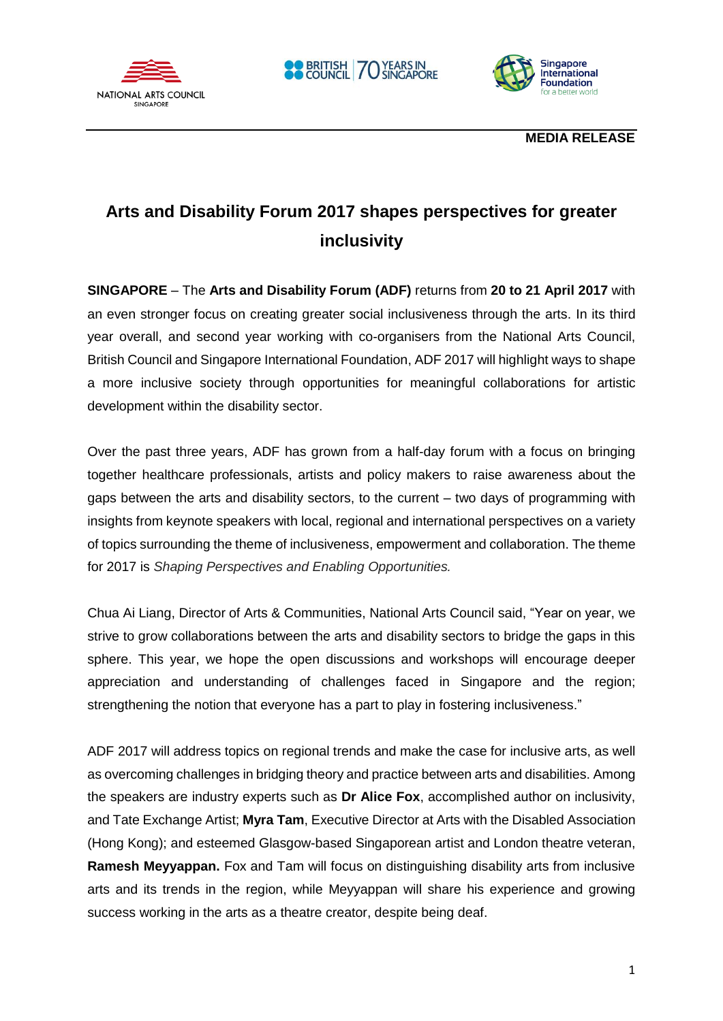



 **MEDIA RELEASE**

# **Arts and Disability Forum 2017 shapes perspectives for greater inclusivity**

**SINGAPORE** – The **Arts and Disability Forum (ADF)** returns from **20 to 21 April 2017** with an even stronger focus on creating greater social inclusiveness through the arts. In its third year overall, and second year working with co-organisers from the National Arts Council, British Council and Singapore International Foundation, ADF 2017 will highlight ways to shape a more inclusive society through opportunities for meaningful collaborations for artistic development within the disability sector.

Over the past three years, ADF has grown from a half-day forum with a focus on bringing together healthcare professionals, artists and policy makers to raise awareness about the gaps between the arts and disability sectors, to the current – two days of programming with insights from keynote speakers with local, regional and international perspectives on a variety of topics surrounding the theme of inclusiveness, empowerment and collaboration. The theme for 2017 is *Shaping Perspectives and Enabling Opportunities.*

Chua Ai Liang, Director of Arts & Communities, National Arts Council said, "Year on year, we strive to grow collaborations between the arts and disability sectors to bridge the gaps in this sphere. This year, we hope the open discussions and workshops will encourage deeper appreciation and understanding of challenges faced in Singapore and the region; strengthening the notion that everyone has a part to play in fostering inclusiveness."

ADF 2017 will address topics on regional trends and make the case for inclusive arts, as well as overcoming challenges in bridging theory and practice between arts and disabilities. Among the speakers are industry experts such as **Dr Alice Fox**, accomplished author on inclusivity, and Tate Exchange Artist; **Myra Tam**, Executive Director at Arts with the Disabled Association (Hong Kong); and esteemed Glasgow-based Singaporean artist and London theatre veteran, **Ramesh Meyyappan.** Fox and Tam will focus on distinguishing disability arts from inclusive arts and its trends in the region, while Meyyappan will share his experience and growing success working in the arts as a theatre creator, despite being deaf.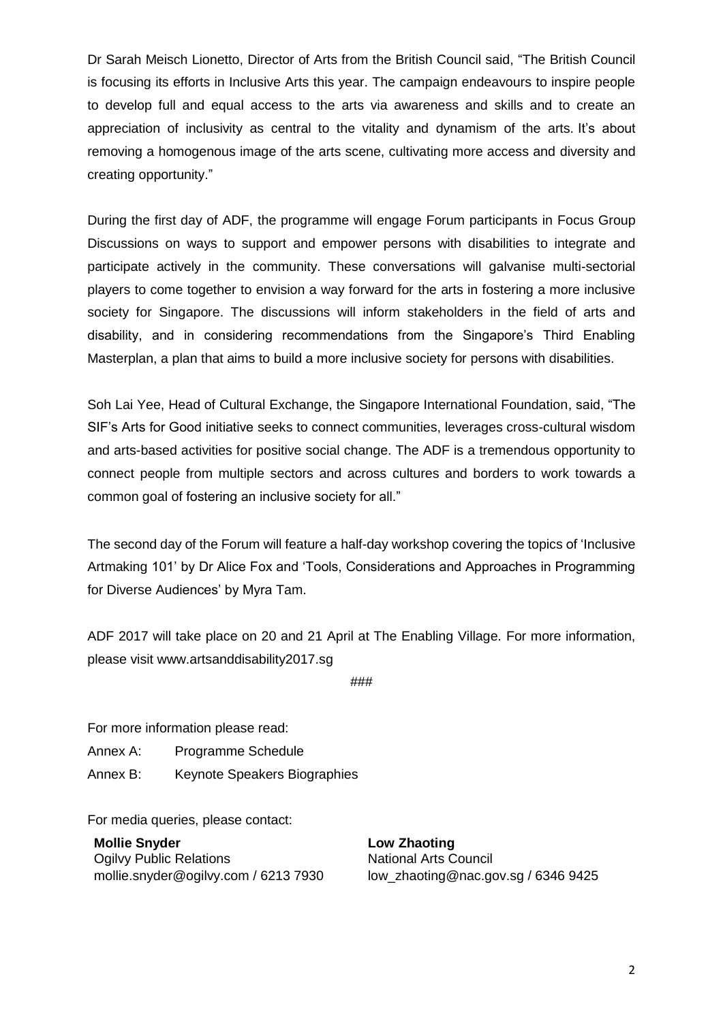Dr Sarah Meisch Lionetto, Director of Arts from the British Council said, "The British Council is focusing its efforts in Inclusive Arts this year. The campaign endeavours to inspire people to develop full and equal access to the arts via awareness and skills and to create an appreciation of inclusivity as central to the vitality and dynamism of the arts. It's about removing a homogenous image of the arts scene, cultivating more access and diversity and creating opportunity."

During the first day of ADF, the programme will engage Forum participants in Focus Group Discussions on ways to support and empower persons with disabilities to integrate and participate actively in the community. These conversations will galvanise multi-sectorial players to come together to envision a way forward for the arts in fostering a more inclusive society for Singapore. The discussions will inform stakeholders in the field of arts and disability, and in considering recommendations from the Singapore's Third Enabling Masterplan, a plan that aims to build a more inclusive society for persons with disabilities.

Soh Lai Yee, Head of Cultural Exchange, the Singapore International Foundation, said, "The SIF's Arts for Good initiative seeks to connect communities, leverages cross-cultural wisdom and arts-based activities for positive social change. The ADF is a tremendous opportunity to connect people from multiple sectors and across cultures and borders to work towards a common goal of fostering an inclusive society for all."

The second day of the Forum will feature a half-day workshop covering the topics of 'Inclusive Artmaking 101' by Dr Alice Fox and 'Tools, Considerations and Approaches in Programming for Diverse Audiences' by Myra Tam.

ADF 2017 will take place on 20 and 21 April at The Enabling Village. For more information, please visit www.artsanddisability2017.sg

###

For more information please read:

Annex A: Programme Schedule

Annex B: Keynote Speakers Biographies

For media queries, please contact:

**Mollie Snyder Community Community Community Community Community Community Community Community Community Community Ogilvy Public Relations Council Council** National Arts Council mollie.snyder@ogilvy.com / 6213 7930 low zhaoting@nac.gov.sg / 6346 9425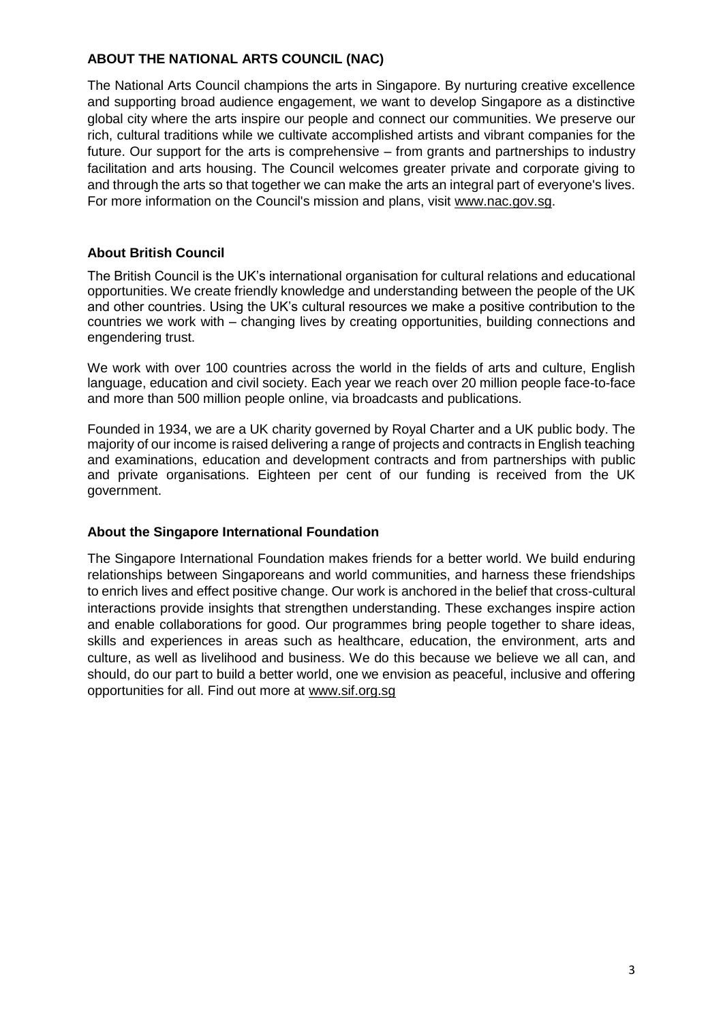## **ABOUT THE NATIONAL ARTS COUNCIL (NAC)**

The National Arts Council champions the arts in Singapore. By nurturing creative excellence and supporting broad audience engagement, we want to develop Singapore as a distinctive global city where the arts inspire our people and connect our communities. We preserve our rich, cultural traditions while we cultivate accomplished artists and vibrant companies for the future. Our support for the arts is comprehensive – from grants and partnerships to industry facilitation and arts housing. The Council welcomes greater private and corporate giving to and through the arts so that together we can make the arts an integral part of everyone's lives. For more information on the Council's mission and plans, visit www.nac.gov.sg.

#### **About British Council**

The British Council is the UK's international organisation for cultural relations and educational opportunities. We create friendly knowledge and understanding between the people of the UK and other countries. Using the UK's cultural resources we make a positive contribution to the countries we work with – changing lives by creating opportunities, building connections and engendering trust.

We work with over 100 countries across the world in the fields of arts and culture, English language, education and civil society. Each year we reach over 20 million people face-to-face and more than 500 million people online, via broadcasts and publications.

Founded in 1934, we are a UK charity governed by Royal Charter and a UK public body. The majority of our income is raised delivering a range of projects and contracts in English teaching and examinations, education and development contracts and from partnerships with public and private organisations. Eighteen per cent of our funding is received from the UK government.

#### **About the Singapore International Foundation**

The Singapore International Foundation makes friends for a better world. We build enduring relationships between Singaporeans and world communities, and harness these friendships to enrich lives and effect positive change. Our work is anchored in the belief that cross-cultural interactions provide insights that strengthen understanding. These exchanges inspire action and enable collaborations for good. Our programmes bring people together to share ideas, skills and experiences in areas such as healthcare, education, the environment, arts and culture, as well as livelihood and business. We do this because we believe we all can, and should, do our part to build a better world, one we envision as peaceful, inclusive and offering opportunities for all. Find out more at www.sif.org.sg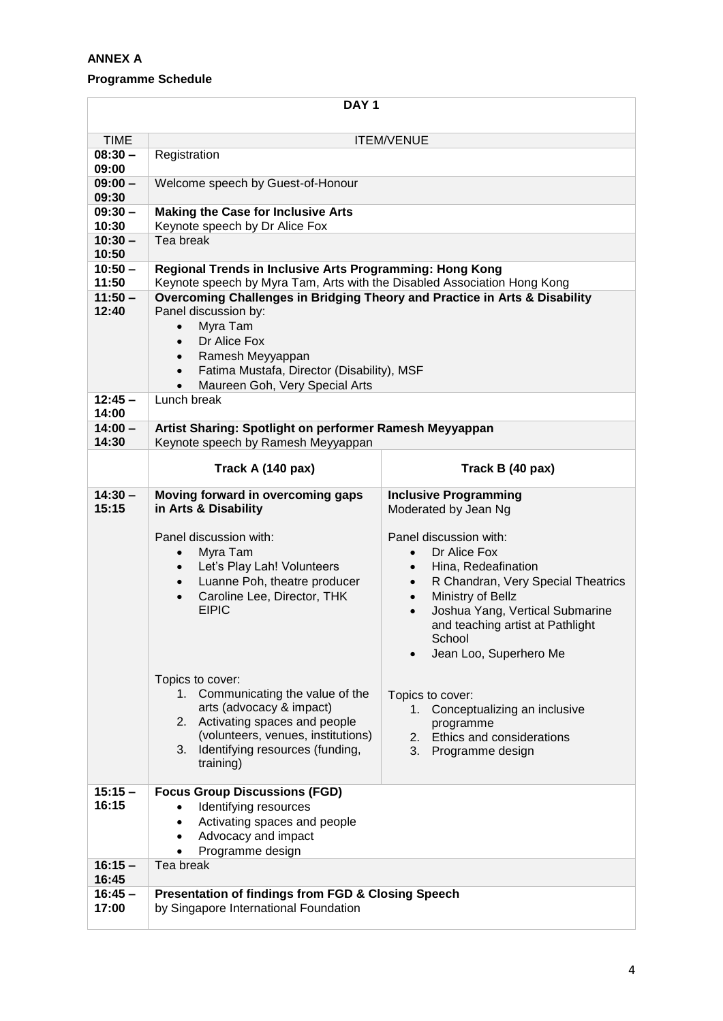## **ANNEX A**

## **Programme Schedule**

| DAY <sub>1</sub>   |                                                                                                                                                                                                               |                                                                                                                                                                                                                                                                                                      |  |
|--------------------|---------------------------------------------------------------------------------------------------------------------------------------------------------------------------------------------------------------|------------------------------------------------------------------------------------------------------------------------------------------------------------------------------------------------------------------------------------------------------------------------------------------------------|--|
| <b>TIME</b>        | <b>ITEM/VENUE</b>                                                                                                                                                                                             |                                                                                                                                                                                                                                                                                                      |  |
| $08:30 -$<br>09:00 | Registration                                                                                                                                                                                                  |                                                                                                                                                                                                                                                                                                      |  |
| $09:00 -$<br>09:30 | Welcome speech by Guest-of-Honour                                                                                                                                                                             |                                                                                                                                                                                                                                                                                                      |  |
| $09:30 -$<br>10:30 | <b>Making the Case for Inclusive Arts</b><br>Keynote speech by Dr Alice Fox                                                                                                                                   |                                                                                                                                                                                                                                                                                                      |  |
| $10:30 -$<br>10:50 | Tea break                                                                                                                                                                                                     |                                                                                                                                                                                                                                                                                                      |  |
| $10:50 -$<br>11:50 | Regional Trends in Inclusive Arts Programming: Hong Kong<br>Keynote speech by Myra Tam, Arts with the Disabled Association Hong Kong                                                                          |                                                                                                                                                                                                                                                                                                      |  |
| $11:50 -$          | Overcoming Challenges in Bridging Theory and Practice in Arts & Disability                                                                                                                                    |                                                                                                                                                                                                                                                                                                      |  |
| 12:40              | Panel discussion by:                                                                                                                                                                                          |                                                                                                                                                                                                                                                                                                      |  |
|                    | Myra Tam<br>$\bullet$                                                                                                                                                                                         |                                                                                                                                                                                                                                                                                                      |  |
|                    | Dr Alice Fox<br>$\bullet$                                                                                                                                                                                     |                                                                                                                                                                                                                                                                                                      |  |
|                    | Ramesh Meyyappan<br>$\bullet$                                                                                                                                                                                 |                                                                                                                                                                                                                                                                                                      |  |
|                    | Fatima Mustafa, Director (Disability), MSF<br>$\bullet$<br>Maureen Goh, Very Special Arts                                                                                                                     |                                                                                                                                                                                                                                                                                                      |  |
| $12:45 -$          | Lunch break                                                                                                                                                                                                   |                                                                                                                                                                                                                                                                                                      |  |
| 14:00              |                                                                                                                                                                                                               |                                                                                                                                                                                                                                                                                                      |  |
| $14:00 -$          | Artist Sharing: Spotlight on performer Ramesh Meyyappan                                                                                                                                                       |                                                                                                                                                                                                                                                                                                      |  |
| 14:30              | Keynote speech by Ramesh Meyyappan                                                                                                                                                                            |                                                                                                                                                                                                                                                                                                      |  |
|                    | Track A (140 pax)                                                                                                                                                                                             | Track B (40 pax)                                                                                                                                                                                                                                                                                     |  |
| $14:30 -$<br>15:15 | Moving forward in overcoming gaps<br>in Arts & Disability                                                                                                                                                     | <b>Inclusive Programming</b><br>Moderated by Jean Ng                                                                                                                                                                                                                                                 |  |
|                    | Panel discussion with:<br>Myra Tam<br>$\bullet$<br>Let's Play Lah! Volunteers<br>$\bullet$<br>Luanne Poh, theatre producer<br>$\bullet$<br>Caroline Lee, Director, THK<br>$\bullet$<br><b>EIPIC</b>           | Panel discussion with:<br>Dr Alice Fox<br>$\bullet$<br>Hina, Redeafination<br>$\bullet$<br>R Chandran, Very Special Theatrics<br>$\bullet$<br>Ministry of Bellz<br>$\bullet$<br>Joshua Yang, Vertical Submarine<br>$\bullet$<br>and teaching artist at Pathlight<br>School<br>Jean Loo, Superhero Me |  |
|                    | Topics to cover:<br>1. Communicating the value of the<br>arts (advocacy & impact)<br>2. Activating spaces and people<br>(volunteers, venues, institutions)<br>3. Identifying resources (funding,<br>training) | Topics to cover:<br>1. Conceptualizing an inclusive<br>programme<br>Ethics and considerations<br>2.<br>3.<br>Programme design                                                                                                                                                                        |  |
| $15:15 -$<br>16:15 | <b>Focus Group Discussions (FGD)</b><br>Identifying resources<br>Activating spaces and people<br>Advocacy and impact<br>$\bullet$<br>Programme design                                                         |                                                                                                                                                                                                                                                                                                      |  |
| $16:15 -$<br>16:45 | Tea break                                                                                                                                                                                                     |                                                                                                                                                                                                                                                                                                      |  |
| $16:45 -$<br>17:00 | <b>Presentation of findings from FGD &amp; Closing Speech</b><br>by Singapore International Foundation                                                                                                        |                                                                                                                                                                                                                                                                                                      |  |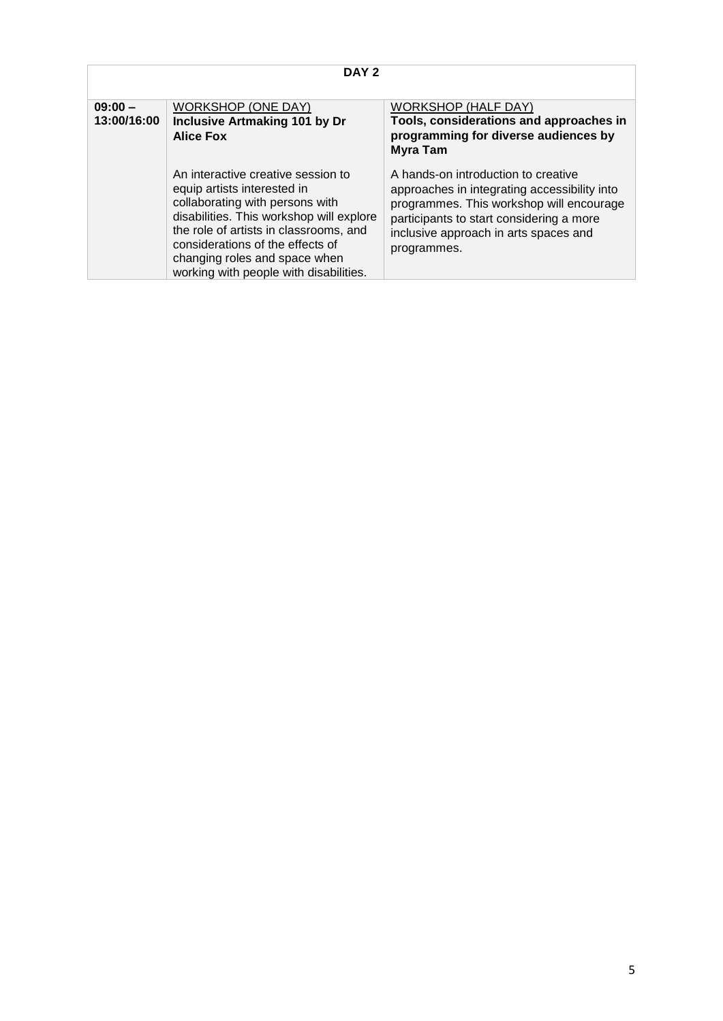| DAY <sub>2</sub>         |                                                                                                                                                                                                                                                                                                           |                                                                                                                                                                                                                                     |
|--------------------------|-----------------------------------------------------------------------------------------------------------------------------------------------------------------------------------------------------------------------------------------------------------------------------------------------------------|-------------------------------------------------------------------------------------------------------------------------------------------------------------------------------------------------------------------------------------|
| $09:00 -$<br>13:00/16:00 | <b>WORKSHOP (ONE DAY)</b><br><b>Inclusive Artmaking 101 by Dr</b><br><b>Alice Fox</b>                                                                                                                                                                                                                     | WORKSHOP (HALF DAY)<br>Tools, considerations and approaches in<br>programming for diverse audiences by<br><b>Myra Tam</b>                                                                                                           |
|                          | An interactive creative session to<br>equip artists interested in<br>collaborating with persons with<br>disabilities. This workshop will explore<br>the role of artists in classrooms, and<br>considerations of the effects of<br>changing roles and space when<br>working with people with disabilities. | A hands-on introduction to creative<br>approaches in integrating accessibility into<br>programmes. This workshop will encourage<br>participants to start considering a more<br>inclusive approach in arts spaces and<br>programmes. |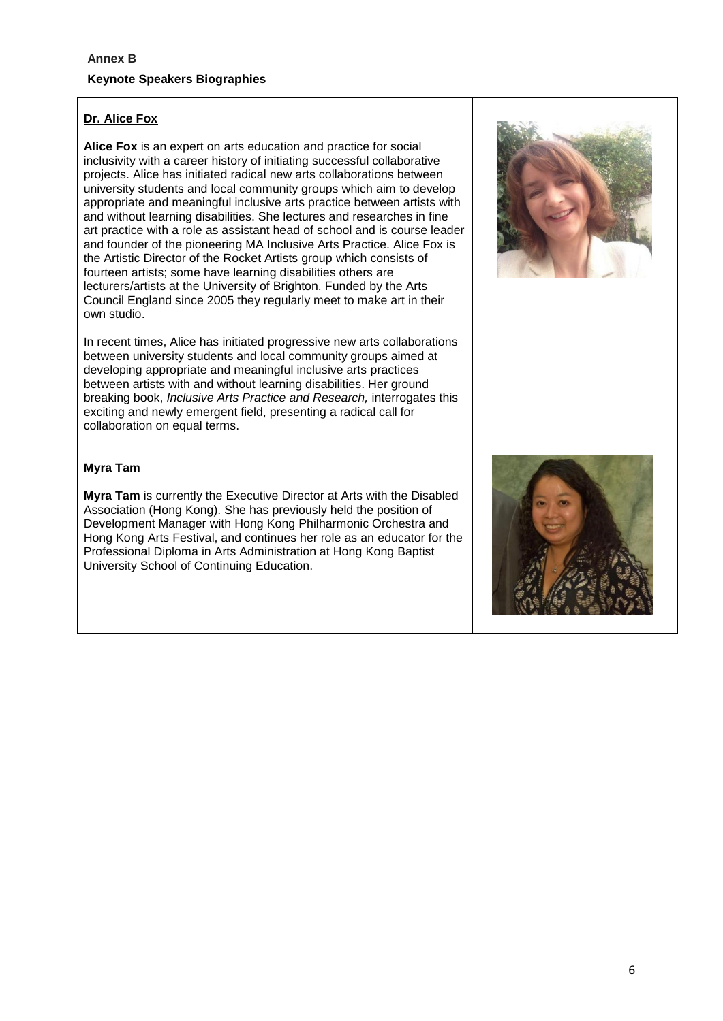### **Dr. Alice Fox**

**Alice Fox** is an expert on arts education and practice for social inclusivity with a career history of initiating successful collaborative projects. Alice has initiated radical new arts collaborations between university students and local community groups which aim to develop appropriate and meaningful inclusive arts practice between artists with and without learning disabilities. She lectures and researches in fine art practice with a role as assistant head of school and is course leader and founder of the pioneering MA Inclusive Arts Practice. Alice Fox is the Artistic Director of the Rocket Artists group which consists of fourteen artists; some have learning disabilities others are lecturers/artists at the University of Brighton. Funded by the Arts Council England since 2005 they regularly meet to make art in their own studio.

In recent times, Alice has initiated progressive new arts collaborations between university students and local community groups aimed at developing appropriate and meaningful inclusive arts practices between artists with and without learning disabilities. Her ground breaking book, *Inclusive Arts Practice and Research,* interrogates this exciting and newly emergent field, presenting a radical call for collaboration on equal terms.



#### **Myra Tam**

**Myra Tam** is currently the Executive Director at Arts with the Disabled Association (Hong Kong). She has previously held the position of Development Manager with Hong Kong Philharmonic Orchestra and Hong Kong Arts Festival, and continues her role as an educator for the Professional Diploma in Arts Administration at Hong Kong Baptist University School of Continuing Education.